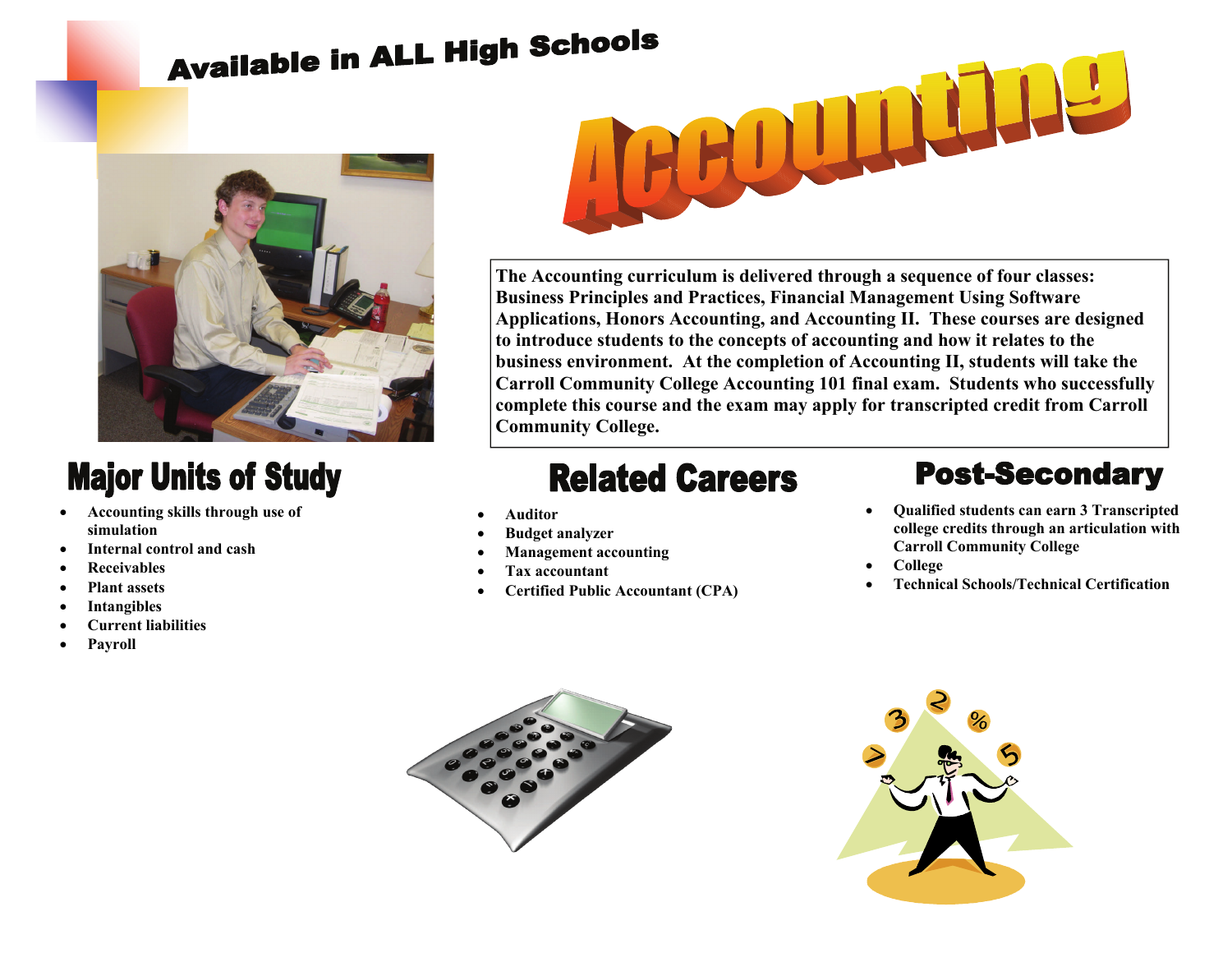# **Available in ALL High Schools**



### **Major Units of Study**

- **Accounting skills through use of simulation**
- **Internal control and cash**
- **Receivables**
- **Plant assets**
- **Intangibles**
- **Current liabilities**
- **Payroll**



**The Accounting curriculum is delivered through a sequence of four classes: Business Principles and Practices, Financial Management Using Software Applications, Honors Accounting, and Accounting II. These courses are designed to introduce students to the concepts of accounting and how it relates to the business environment. At the completion of Accounting II, students will take the Carroll Community College Accounting 101 final exam. Students who successfully complete this course and the exam may apply for transcripted credit from Carroll Community College.** 

## **Related Careers**

- **Auditor**
- **Budget analyzer**
- **Management accounting**
- **Tax accountant**
- **Certified Public Accountant (CPA)**

#### **Post-Secondary**

- **Qualified students can earn 3 Transcripted college credits through an articulation with Carroll Community College**
- **College**
- **Technical Schools/Technical Certification**